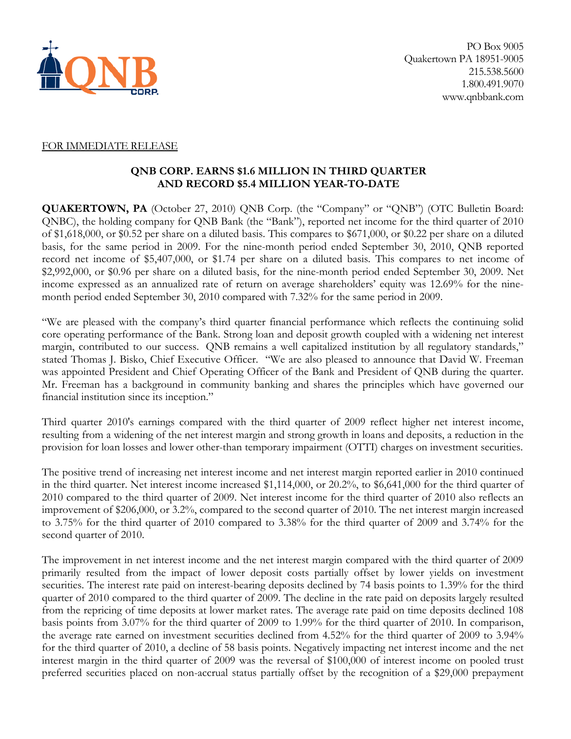

## FOR IMMEDIATE RELEASE

## **QNB CORP. EARNS \$1.6 MILLION IN THIRD QUARTER AND RECORD \$5.4 MILLION YEAR-TO-DATE**

**QUAKERTOWN, PA** (October 27, 2010) QNB Corp. (the "Company" or "QNB") (OTC Bulletin Board: QNBC), the holding company for QNB Bank (the "Bank"), reported net income for the third quarter of 2010 of \$1,618,000, or \$0.52 per share on a diluted basis. This compares to \$671,000, or \$0.22 per share on a diluted basis, for the same period in 2009. For the nine-month period ended September 30, 2010, QNB reported record net income of \$5,407,000, or \$1.74 per share on a diluted basis. This compares to net income of \$2,992,000, or \$0.96 per share on a diluted basis, for the nine-month period ended September 30, 2009. Net income expressed as an annualized rate of return on average shareholders' equity was 12.69% for the ninemonth period ended September 30, 2010 compared with 7.32% for the same period in 2009.

"We are pleased with the company's third quarter financial performance which reflects the continuing solid core operating performance of the Bank. Strong loan and deposit growth coupled with a widening net interest margin, contributed to our success. QNB remains a well capitalized institution by all regulatory standards," stated Thomas J. Bisko, Chief Executive Officer. "We are also pleased to announce that David W. Freeman was appointed President and Chief Operating Officer of the Bank and President of QNB during the quarter. Mr. Freeman has a background in community banking and shares the principles which have governed our financial institution since its inception."

Third quarter 2010's earnings compared with the third quarter of 2009 reflect higher net interest income, resulting from a widening of the net interest margin and strong growth in loans and deposits, a reduction in the provision for loan losses and lower other-than temporary impairment (OTTI) charges on investment securities.

The positive trend of increasing net interest income and net interest margin reported earlier in 2010 continued in the third quarter. Net interest income increased \$1,114,000, or 20.2%, to \$6,641,000 for the third quarter of 2010 compared to the third quarter of 2009. Net interest income for the third quarter of 2010 also reflects an improvement of \$206,000, or 3.2%, compared to the second quarter of 2010. The net interest margin increased to 3.75% for the third quarter of 2010 compared to 3.38% for the third quarter of 2009 and 3.74% for the second quarter of 2010.

The improvement in net interest income and the net interest margin compared with the third quarter of 2009 primarily resulted from the impact of lower deposit costs partially offset by lower yields on investment securities. The interest rate paid on interest-bearing deposits declined by 74 basis points to 1.39% for the third quarter of 2010 compared to the third quarter of 2009. The decline in the rate paid on deposits largely resulted from the repricing of time deposits at lower market rates. The average rate paid on time deposits declined 108 basis points from 3.07% for the third quarter of 2009 to 1.99% for the third quarter of 2010. In comparison, the average rate earned on investment securities declined from 4.52% for the third quarter of 2009 to 3.94% for the third quarter of 2010, a decline of 58 basis points. Negatively impacting net interest income and the net interest margin in the third quarter of 2009 was the reversal of \$100,000 of interest income on pooled trust preferred securities placed on non-accrual status partially offset by the recognition of a \$29,000 prepayment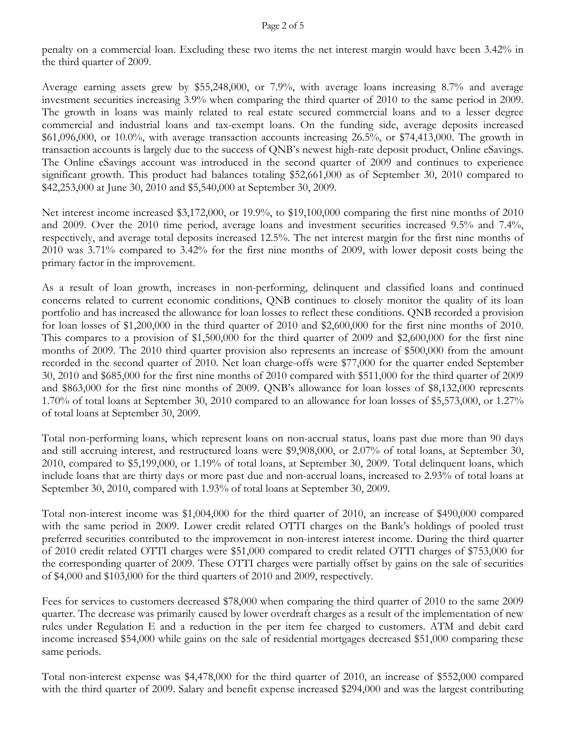#### Page 2 of 5

penalty on a commercial loan. Excluding these two items the net interest margin would have been 3.42% in the third quarter of 2009.

Average earning assets grew by \$55,248,000, or 7.9%, with average loans increasing 8.7% and average investment securities increasing 3.9% when comparing the third quarter of 2010 to the same period in 2009. The growth in loans was mainly related to real estate secured commercial loans and to a lesser degree commercial and industrial loans and tax-exempt loans. On the funding side, average deposits increased  $$61,096,000$ , or  $10.0\%$ , with average transaction accounts increasing 26.5%, or \$74,413,000. The growth in transaction accounts is largely due to the success of QNB's newest high-rate deposit product, Online eSavings. The Online eSavings account was introduced in the second quarter of 2009 and continues to experience significant growth. This product had balances totaling \$52,661,000 as of September 30, 2010 compared to \$42,253,000 at June 30, 2010 and \$5,540,000 at September 30, 2009.

Net interest income increased \$3,172,000, or 19.9%, to \$19,100,000 comparing the first nine months of 2010 and 2009. Over the 2010 time period, average loans and investment securities increased 9.5% and 7.4%, respectively, and average total deposits increased 12.5%. The net interest margin for the first nine months of 2010 was 3.71% compared to 3.42% for the first nine months of 2009, with lower deposit costs being the primary factor in the improvement.

As a result of loan growth, increases in non-performing, delinquent and classified loans and continued concerns related to current economic conditions, QNB continues to closely monitor the quality of its loan portfolio and has increased the allowance for loan losses to reflect these conditions. QNB recorded a provision for loan losses of \$1,200,000 in the third quarter of 2010 and \$2,600,000 for the first nine months of 2010. This compares to a provision of \$1,500,000 for the third quarter of 2009 and \$2,600,000 for the first nine months of 2009. The 2010 third quarter provision also represents an increase of \$500,000 from the amount recorded in the second quarter of 2010. Net loan charge-offs were \$77,000 for the quarter ended September 30, 2010 and \$685,000 for the first nine months of 2010 compared with \$511,000 for the third quarter of 2009 and \$863,000 for the first nine months of 2009. QNB's allowance for loan losses of \$8,132,000 represents 1.70% of total loans at September 30, 2010 compared to an allowance for loan losses of \$5,573,000, or 1.27% of total loans at September 30, 2009.

Total non-performing loans, which represent loans on non-accrual status, loans past due more than 90 days and still accruing interest, and restructured loans were \$9,908,000, or 2.07% of total loans, at September 30, 2010, compared to \$5,199,000, or 1.19% of total loans, at September 30, 2009. Total delinquent loans, which include loans that are thirty days or more past due and non-accrual loans, increased to 2.93% of total loans at September 30, 2010, compared with 1.93% of total loans at September 30, 2009.

Total non-interest income was \$1,004,000 for the third quarter of 2010, an increase of \$490,000 compared with the same period in 2009. Lower credit related OTTI charges on the Bank's holdings of pooled trust preferred securities contributed to the improvement in non-interest interest income. During the third quarter of 2010 credit related OTTI charges were \$51,000 compared to credit related OTTI charges of \$753,000 for the corresponding quarter of 2009. These OTTI charges were partially offset by gains on the sale of securities of \$4,000 and \$103,000 for the third quarters of 2010 and 2009, respectively.

Fees for services to customers decreased \$78,000 when comparing the third quarter of 2010 to the same 2009 quarter. The decrease was primarily caused by lower overdraft charges as a result of the implementation of new rules under Regulation E and a reduction in the per item fee charged to customers. ATM and debit card income increased \$54,000 while gains on the sale of residential mortgages decreased \$51,000 comparing these same periods.

Total non-interest expense was \$4,478,000 for the third quarter of 2010, an increase of \$552,000 compared with the third quarter of 2009. Salary and benefit expense increased \$294,000 and was the largest contributing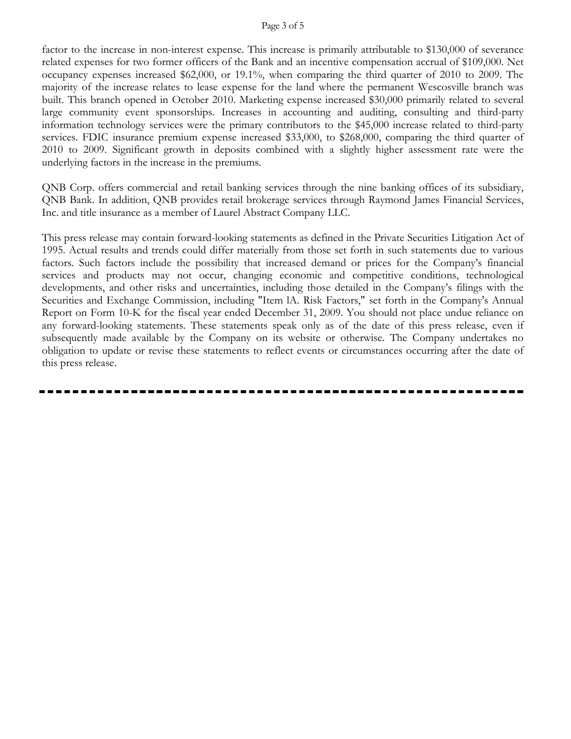#### Page 3 of 5

factor to the increase in non-interest expense. This increase is primarily attributable to \$130,000 of severance related expenses for two former officers of the Bank and an incentive compensation accrual of \$109,000. Net occupancy expenses increased \$62,000, or 19.1%, when comparing the third quarter of 2010 to 2009. The majority of the increase relates to lease expense for the land where the permanent Wescosville branch was built. This branch opened in October 2010. Marketing expense increased \$30,000 primarily related to several large community event sponsorships. Increases in accounting and auditing, consulting and third-party information technology services were the primary contributors to the \$45,000 increase related to third-party services. FDIC insurance premium expense increased \$33,000, to \$268,000, comparing the third quarter of 2010 to 2009. Significant growth in deposits combined with a slightly higher assessment rate were the underlying factors in the increase in the premiums.

QNB Corp. offers commercial and retail banking services through the nine banking offices of its subsidiary, QNB Bank. In addition, QNB provides retail brokerage services through Raymond James Financial Services, Inc. and title insurance as a member of Laurel Abstract Company LLC.

This press release may contain forward-looking statements as defined in the Private Securities Litigation Act of 1995. Actual results and trends could differ materially from those set forth in such statements due to various factors. Such factors include the possibility that increased demand or prices for the Company's financial services and products may not occur, changing economic and competitive conditions, technological developments, and other risks and uncertainties, including those detailed in the Company's filings with the Securities and Exchange Commission, including "Item lA. Risk Factors," set forth in the Company's Annual Report on Form 10-K for the fiscal year ended December 31, 2009. You should not place undue reliance on any forward-looking statements. These statements speak only as of the date of this press release, even if subsequently made available by the Company on its website or otherwise. The Company undertakes no obligation to update or revise these statements to reflect events or circumstances occurring after the date of this press release.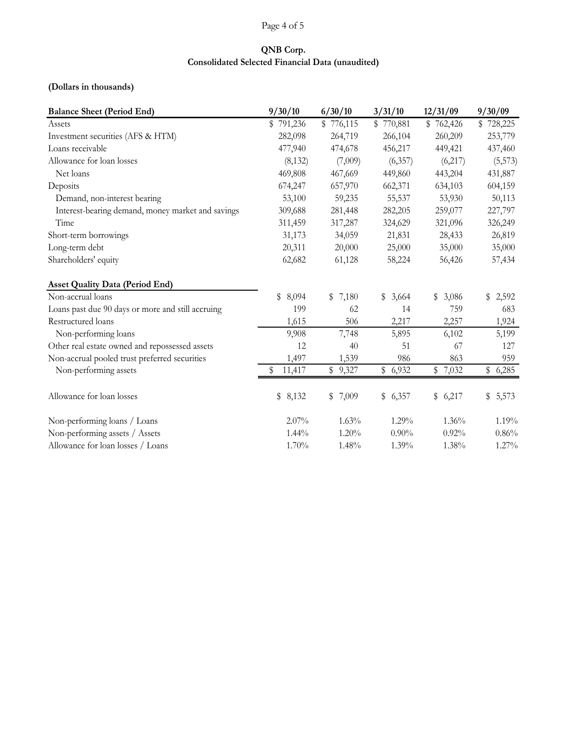#### Page 4 of 5

### **QNB Corp. Consolidated Selected Financial Data (unaudited)**

#### **(Dollars in thousands)**

| <b>Balance Sheet (Period End)</b>                 | 9/30/10     | 6/30/10   | 3/31/10     | 12/31/09  | 9/30/09   |
|---------------------------------------------------|-------------|-----------|-------------|-----------|-----------|
| Assets                                            | 791,236     | \$776,115 | \$770,881   | \$762,426 | \$728,225 |
| Investment securities (AFS & HTM)                 | 282,098     | 264,719   | 266,104     | 260,209   | 253,779   |
| Loans receivable                                  | 477,940     | 474,678   | 456,217     | 449,421   | 437,460   |
| Allowance for loan losses                         | (8, 132)    | (7,009)   | (6,357)     | (6,217)   | (5,573)   |
| Net loans                                         | 469,808     | 467,669   | 449,860     | 443,204   | 431,887   |
| Deposits                                          | 674,247     | 657,970   | 662,371     | 634,103   | 604,159   |
| Demand, non-interest bearing                      | 53,100      | 59,235    | 55,537      | 53,930    | 50,113    |
| Interest-bearing demand, money market and savings | 309,688     | 281,448   | 282,205     | 259,077   | 227,797   |
| Time                                              | 311,459     | 317,287   | 324,629     | 321,096   | 326,249   |
| Short-term borrowings                             | 31,173      | 34,059    | 21,831      | 28,433    | 26,819    |
| Long-term debt                                    | 20,311      | 20,000    | 25,000      | 35,000    | 35,000    |
| Shareholders' equity                              | 62,682      | 61,128    | 58,224      | 56,426    | 57,434    |
| <b>Asset Quality Data (Period End)</b>            |             |           |             |           |           |
| Non-accrual loans                                 | \$<br>8,094 | \$7,180   | \$<br>3,664 | \$3,086   | \$2,592   |
| Loans past due 90 days or more and still accruing | 199         | 62        | 14          | 759       | 683       |
| Restructured loans                                | 1,615       | 506       | 2,217       | 2,257     | 1,924     |
| Non-performing loans                              | 9,908       | 7,748     | 5,895       | 6,102     | 5,199     |
| Other real estate owned and repossessed assets    | 12          | 40        | 51          | 67        | 127       |
| Non-accrual pooled trust preferred securities     | 1,497       | 1,539     | 986         | 863       | 959       |
| Non-performing assets                             | 11,417<br>S | \$9,327   | \$6,932     | \$7,032   | \$6,285   |
| Allowance for loan losses                         | \$<br>8,132 | \$7,009   | \$<br>6,357 | \$6,217   | \$5,573   |
| Non-performing loans / Loans                      | 2.07%       | 1.63%     | 1.29%       | 1.36%     | 1.19%     |
| Non-performing assets / Assets                    | $1.44\%$    | 1.20%     | $0.90\%$    | 0.92%     | 0.86%     |
| Allowance for loan losses / Loans                 | 1.70%       | 1.48%     | 1.39%       | 1.38%     | 1.27%     |